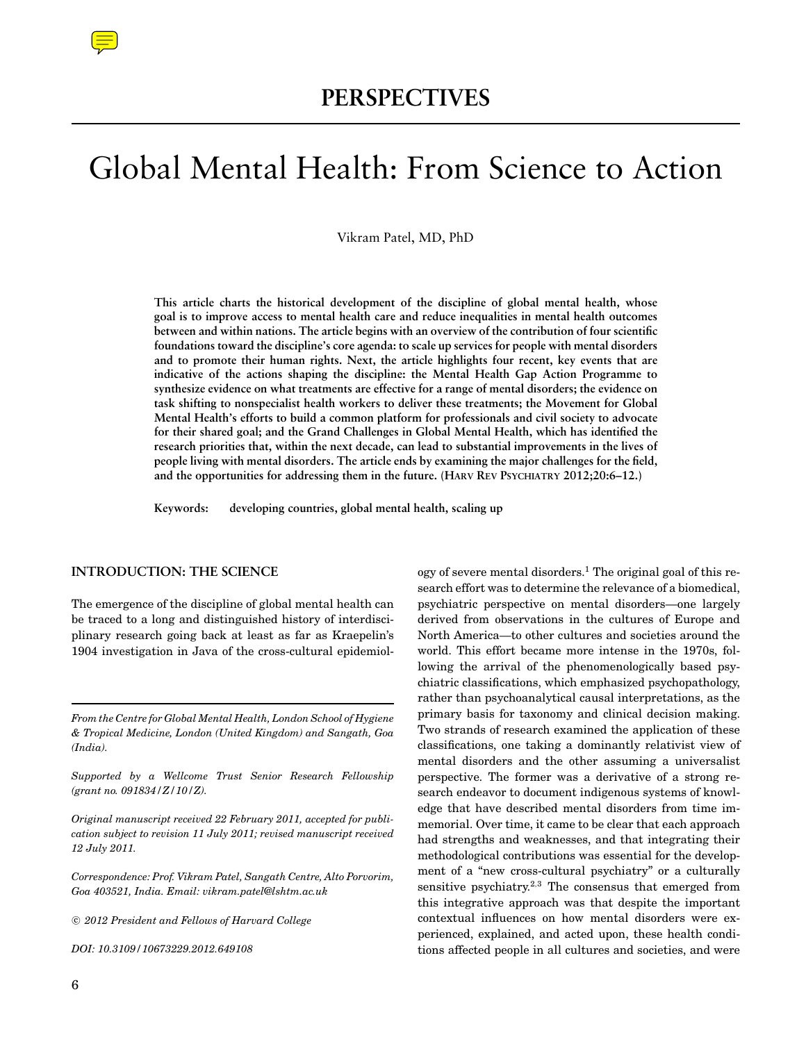# Global Mental Health: From Science to Action

Vikram Patel, MD, PhD

**This article charts the historical development of the discipline of global mental health, whose goal is to improve access to mental health care and reduce inequalities in mental health outcomes between and within nations. The article begins with an overview of the contribution of four scientific foundations toward the discipline's core agenda: to scale up services for people with mental disorders and to promote their human rights. Next, the article highlights four recent, key events that are indicative of the actions shaping the discipline: the Mental Health Gap Action Programme to synthesize evidence on what treatments are effective for a range of mental disorders; the evidence on task shifting to nonspecialist health workers to deliver these treatments; the Movement for Global Mental Health's efforts to build a common platform for professionals and civil society to advocate for their shared goal; and the Grand Challenges in Global Mental Health, which has identified the research priorities that, within the next decade, can lead to substantial improvements in the lives of people living with mental disorders. The article ends by examining the major challenges for the field, and the opportunities for addressing them in the future. (HARV REV PSYCHIATRY 2012;20:6–12.)**

**Keywords: developing countries, global mental health, scaling up**

# **INTRODUCTION: THE SCIENCE**

The emergence of the discipline of global mental health can be traced to a long and distinguished history of interdisciplinary research going back at least as far as Kraepelin's 1904 investigation in Java of the cross-cultural epidemiol-

*From the Centre for Global Mental Health, London School of Hygiene & Tropical Medicine, London (United Kingdom) and Sangath, Goa (India).*

*Supported by a Wellcome Trust Senior Research Fellowship (grant no. 091834/Z/10/Z).*

*Original manuscript received 22 February 2011, accepted for publication subject to revision 11 July 2011; revised manuscript received 12 July 2011.*

*Correspondence: Prof. Vikram Patel, Sangath Centre, Alto Porvorim, Goa 403521, India. Email: vikram.patel@lshtm.ac.uk*

c *2012 President and Fellows of Harvard College*

*DOI: 10.3109/10673229.2012.649108*

ogy of severe mental disorders.<sup>1</sup> The original goal of this research effort was to determine the relevance of a biomedical, psychiatric perspective on mental disorders—one largely derived from observations in the cultures of Europe and North America—to other cultures and societies around the world. This effort became more intense in the 1970s, following the arrival of the phenomenologically based psychiatric classifications, which emphasized psychopathology, rather than psychoanalytical causal interpretations, as the primary basis for taxonomy and clinical decision making. Two strands of research examined the application of these classifications, one taking a dominantly relativist view of mental disorders and the other assuming a universalist perspective. The former was a derivative of a strong research endeavor to document indigenous systems of knowledge that have described mental disorders from time immemorial. Over time, it came to be clear that each approach had strengths and weaknesses, and that integrating their methodological contributions was essential for the development of a "new cross-cultural psychiatry" or a culturally sensitive psychiatry.<sup>2</sup>*,*<sup>3</sup> The consensus that emerged from this integrative approach was that despite the important contextual influences on how mental disorders were experienced, explained, and acted upon, these health conditions affected people in all cultures and societies, and were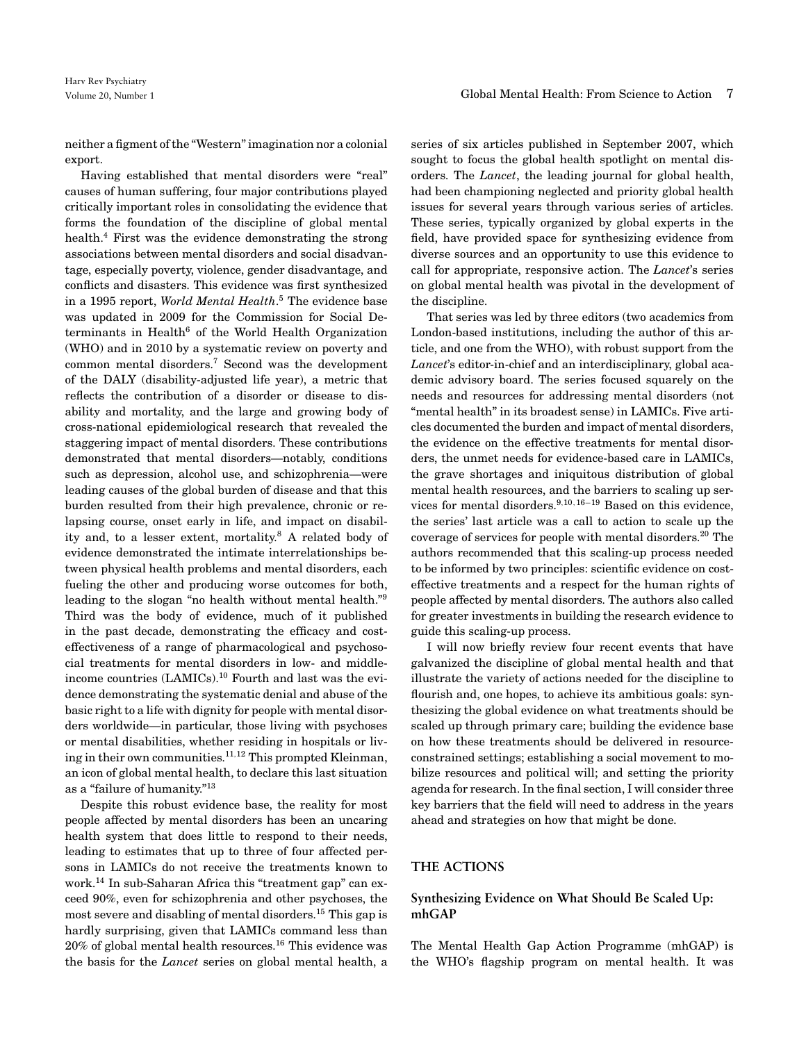neither a figment of the "Western" imagination nor a colonial export.

Having established that mental disorders were "real" causes of human suffering, four major contributions played critically important roles in consolidating the evidence that forms the foundation of the discipline of global mental health.4 First was the evidence demonstrating the strong associations between mental disorders and social disadvantage, especially poverty, violence, gender disadvantage, and conflicts and disasters. This evidence was first synthesized in a 1995 report, *World Mental Health*. <sup>5</sup> The evidence base was updated in 2009 for the Commission for Social Determinants in Health $^6$  of the World Health Organization (WHO) and in 2010 by a systematic review on poverty and common mental disorders.7 Second was the development of the DALY (disability-adjusted life year), a metric that reflects the contribution of a disorder or disease to disability and mortality, and the large and growing body of cross-national epidemiological research that revealed the staggering impact of mental disorders. These contributions demonstrated that mental disorders—notably, conditions such as depression, alcohol use, and schizophrenia—were leading causes of the global burden of disease and that this burden resulted from their high prevalence, chronic or relapsing course, onset early in life, and impact on disability and, to a lesser extent, mortality.<sup>8</sup> A related body of evidence demonstrated the intimate interrelationships between physical health problems and mental disorders, each fueling the other and producing worse outcomes for both, leading to the slogan "no health without mental health."9 Third was the body of evidence, much of it published in the past decade, demonstrating the efficacy and costeffectiveness of a range of pharmacological and psychosocial treatments for mental disorders in low- and middleincome countries (LAMICs).10 Fourth and last was the evidence demonstrating the systematic denial and abuse of the basic right to a life with dignity for people with mental disorders worldwide—in particular, those living with psychoses or mental disabilities, whether residing in hospitals or living in their own communities.<sup>11</sup>*,*<sup>12</sup> This prompted Kleinman, an icon of global mental health, to declare this last situation as a "failure of humanity."<sup>13</sup>

Despite this robust evidence base, the reality for most people affected by mental disorders has been an uncaring health system that does little to respond to their needs, leading to estimates that up to three of four affected persons in LAMICs do not receive the treatments known to work.14 In sub-Saharan Africa this "treatment gap" can exceed 90%, even for schizophrenia and other psychoses, the most severe and disabling of mental disorders.15 This gap is hardly surprising, given that LAMICs command less than  $20\%$  of global mental health resources.<sup>16</sup> This evidence was the basis for the *Lancet* series on global mental health, a

series of six articles published in September 2007, which sought to focus the global health spotlight on mental disorders. The *Lancet*, the leading journal for global health, had been championing neglected and priority global health issues for several years through various series of articles. These series, typically organized by global experts in the field, have provided space for synthesizing evidence from diverse sources and an opportunity to use this evidence to call for appropriate, responsive action. The *Lancet*'s series on global mental health was pivotal in the development of the discipline.

That series was led by three editors (two academics from London-based institutions, including the author of this article, and one from the WHO), with robust support from the *Lancet*'s editor-in-chief and an interdisciplinary, global academic advisory board. The series focused squarely on the needs and resources for addressing mental disorders (not "mental health" in its broadest sense) in LAMICs. Five articles documented the burden and impact of mental disorders, the evidence on the effective treatments for mental disorders, the unmet needs for evidence-based care in LAMICs, the grave shortages and iniquitous distribution of global mental health resources, and the barriers to scaling up services for mental disorders.9*,*10*,*16−<sup>19</sup> Based on this evidence, the series' last article was a call to action to scale up the coverage of services for people with mental disorders.20 The authors recommended that this scaling-up process needed to be informed by two principles: scientific evidence on costeffective treatments and a respect for the human rights of people affected by mental disorders. The authors also called for greater investments in building the research evidence to guide this scaling-up process.

I will now briefly review four recent events that have galvanized the discipline of global mental health and that illustrate the variety of actions needed for the discipline to flourish and, one hopes, to achieve its ambitious goals: synthesizing the global evidence on what treatments should be scaled up through primary care; building the evidence base on how these treatments should be delivered in resourceconstrained settings; establishing a social movement to mobilize resources and political will; and setting the priority agenda for research. In the final section, I will consider three key barriers that the field will need to address in the years ahead and strategies on how that might be done.

## **THE ACTIONS**

#### **Synthesizing Evidence on What Should Be Scaled Up: mhGAP**

The Mental Health Gap Action Programme (mhGAP) is the WHO's flagship program on mental health. It was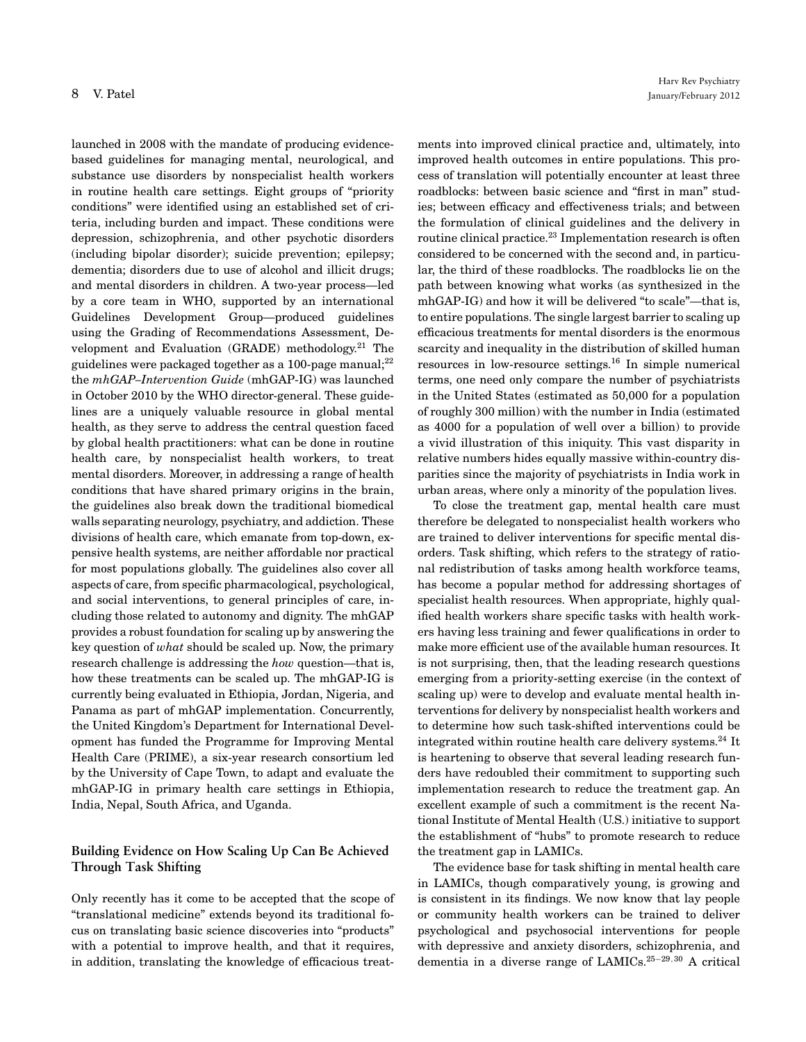launched in 2008 with the mandate of producing evidencebased guidelines for managing mental, neurological, and substance use disorders by nonspecialist health workers in routine health care settings. Eight groups of "priority conditions" were identified using an established set of criteria, including burden and impact. These conditions were depression, schizophrenia, and other psychotic disorders (including bipolar disorder); suicide prevention; epilepsy; dementia; disorders due to use of alcohol and illicit drugs; and mental disorders in children. A two-year process—led by a core team in WHO, supported by an international Guidelines Development Group—produced guidelines using the Grading of Recommendations Assessment, Development and Evaluation (GRADE) methodology.<sup>21</sup> The guidelines were packaged together as a 100-page manual; $^{22}$ the *mhGAP–Intervention Guide* (mhGAP-IG) was launched in October 2010 by the WHO director-general. These guidelines are a uniquely valuable resource in global mental health, as they serve to address the central question faced by global health practitioners: what can be done in routine health care, by nonspecialist health workers, to treat mental disorders. Moreover, in addressing a range of health conditions that have shared primary origins in the brain, the guidelines also break down the traditional biomedical walls separating neurology, psychiatry, and addiction. These divisions of health care, which emanate from top-down, expensive health systems, are neither affordable nor practical for most populations globally. The guidelines also cover all aspects of care, from specific pharmacological, psychological, and social interventions, to general principles of care, including those related to autonomy and dignity. The mhGAP provides a robust foundation for scaling up by answering the key question of *what* should be scaled up. Now, the primary research challenge is addressing the *how* question—that is, how these treatments can be scaled up. The mhGAP-IG is currently being evaluated in Ethiopia, Jordan, Nigeria, and Panama as part of mhGAP implementation. Concurrently, the United Kingdom's Department for International Development has funded the Programme for Improving Mental Health Care (PRIME), a six-year research consortium led by the University of Cape Town, to adapt and evaluate the mhGAP-IG in primary health care settings in Ethiopia, India, Nepal, South Africa, and Uganda.

## **Building Evidence on How Scaling Up Can Be Achieved Through Task Shifting**

Only recently has it come to be accepted that the scope of "translational medicine" extends beyond its traditional focus on translating basic science discoveries into "products" with a potential to improve health, and that it requires, in addition, translating the knowledge of efficacious treat-

ments into improved clinical practice and, ultimately, into improved health outcomes in entire populations. This process of translation will potentially encounter at least three roadblocks: between basic science and "first in man" studies; between efficacy and effectiveness trials; and between the formulation of clinical guidelines and the delivery in routine clinical practice.23 Implementation research is often considered to be concerned with the second and, in particular, the third of these roadblocks. The roadblocks lie on the path between knowing what works (as synthesized in the mhGAP-IG) and how it will be delivered "to scale"—that is, to entire populations. The single largest barrier to scaling up efficacious treatments for mental disorders is the enormous scarcity and inequality in the distribution of skilled human resources in low-resource settings.<sup>16</sup> In simple numerical terms, one need only compare the number of psychiatrists in the United States (estimated as 50,000 for a population of roughly 300 million) with the number in India (estimated as 4000 for a population of well over a billion) to provide a vivid illustration of this iniquity. This vast disparity in relative numbers hides equally massive within-country disparities since the majority of psychiatrists in India work in urban areas, where only a minority of the population lives.

To close the treatment gap, mental health care must therefore be delegated to nonspecialist health workers who are trained to deliver interventions for specific mental disorders. Task shifting, which refers to the strategy of rational redistribution of tasks among health workforce teams, has become a popular method for addressing shortages of specialist health resources. When appropriate, highly qualified health workers share specific tasks with health workers having less training and fewer qualifications in order to make more efficient use of the available human resources. It is not surprising, then, that the leading research questions emerging from a priority-setting exercise (in the context of scaling up) were to develop and evaluate mental health interventions for delivery by nonspecialist health workers and to determine how such task-shifted interventions could be integrated within routine health care delivery systems.24 It is heartening to observe that several leading research funders have redoubled their commitment to supporting such implementation research to reduce the treatment gap. An excellent example of such a commitment is the recent National Institute of Mental Health (U.S.) initiative to support the establishment of "hubs" to promote research to reduce the treatment gap in LAMICs.

The evidence base for task shifting in mental health care in LAMICs, though comparatively young, is growing and is consistent in its findings. We now know that lay people or community health workers can be trained to deliver psychological and psychosocial interventions for people with depressive and anxiety disorders, schizophrenia, and dementia in a diverse range of LAMICs.25−29*,*<sup>30</sup> A critical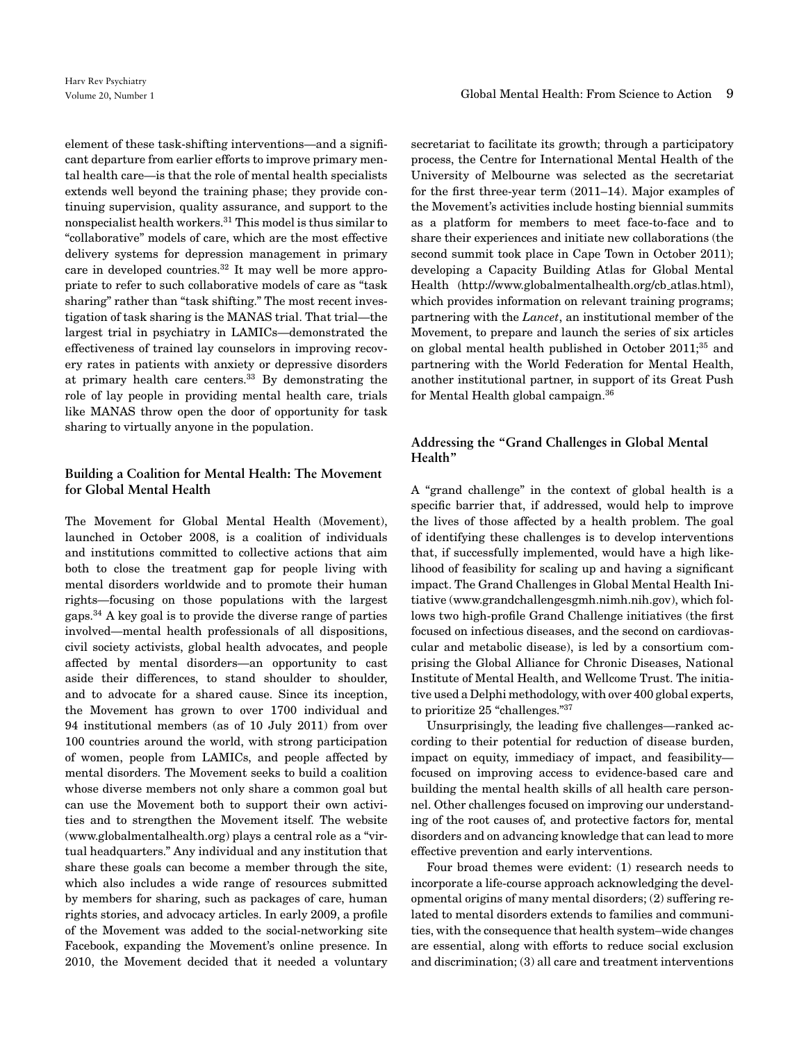element of these task-shifting interventions—and a significant departure from earlier efforts to improve primary mental health care—is that the role of mental health specialists extends well beyond the training phase; they provide continuing supervision, quality assurance, and support to the nonspecialist health workers.<sup>31</sup> This model is thus similar to "collaborative" models of care, which are the most effective delivery systems for depression management in primary care in developed countries.<sup>32</sup> It may well be more appropriate to refer to such collaborative models of care as "task sharing" rather than "task shifting." The most recent investigation of task sharing is the MANAS trial. That trial—the largest trial in psychiatry in LAMICs—demonstrated the effectiveness of trained lay counselors in improving recovery rates in patients with anxiety or depressive disorders at primary health care centers.<sup>33</sup> By demonstrating the role of lay people in providing mental health care, trials like MANAS throw open the door of opportunity for task sharing to virtually anyone in the population.

# **Building a Coalition for Mental Health: The Movement for Global Mental Health**

The Movement for Global Mental Health (Movement), launched in October 2008, is a coalition of individuals and institutions committed to collective actions that aim both to close the treatment gap for people living with mental disorders worldwide and to promote their human rights—focusing on those populations with the largest gaps.34 A key goal is to provide the diverse range of parties involved—mental health professionals of all dispositions, civil society activists, global health advocates, and people affected by mental disorders—an opportunity to cast aside their differences, to stand shoulder to shoulder, and to advocate for a shared cause. Since its inception, the Movement has grown to over 1700 individual and 94 institutional members (as of 10 July 2011) from over 100 countries around the world, with strong participation of women, people from LAMICs, and people affected by mental disorders. The Movement seeks to build a coalition whose diverse members not only share a common goal but can use the Movement both to support their own activities and to strengthen the Movement itself. The website (www.globalmentalhealth.org) plays a central role as a "virtual headquarters." Any individual and any institution that share these goals can become a member through the site, which also includes a wide range of resources submitted by members for sharing, such as packages of care, human rights stories, and advocacy articles. In early 2009, a profile of the Movement was added to the social-networking site Facebook, expanding the Movement's online presence. In 2010, the Movement decided that it needed a voluntary

secretariat to facilitate its growth; through a participatory process, the Centre for International Mental Health of the University of Melbourne was selected as the secretariat for the first three-year term (2011–14). Major examples of the Movement's activities include hosting biennial summits as a platform for members to meet face-to-face and to share their experiences and initiate new collaborations (the second summit took place in Cape Town in October 2011); developing a Capacity Building Atlas for Global Mental Health (http://www.globalmentalhealth.org/cb atlas.html), which provides information on relevant training programs; partnering with the *Lancet*, an institutional member of the Movement, to prepare and launch the series of six articles on global mental health published in October 2011;<sup>35</sup> and partnering with the World Federation for Mental Health, another institutional partner, in support of its Great Push for Mental Health global campaign.<sup>36</sup>

# **Addressing the "Grand Challenges in Global Mental Health"**

A "grand challenge" in the context of global health is a specific barrier that, if addressed, would help to improve the lives of those affected by a health problem. The goal of identifying these challenges is to develop interventions that, if successfully implemented, would have a high likelihood of feasibility for scaling up and having a significant impact. The Grand Challenges in Global Mental Health Initiative (www.grandchallengesgmh.nimh.nih.gov), which follows two high-profile Grand Challenge initiatives (the first focused on infectious diseases, and the second on cardiovascular and metabolic disease), is led by a consortium comprising the Global Alliance for Chronic Diseases, National Institute of Mental Health, and Wellcome Trust. The initiative used a Delphi methodology, with over 400 global experts, to prioritize 25 "challenges."<sup>37</sup>

Unsurprisingly, the leading five challenges—ranked according to their potential for reduction of disease burden, impact on equity, immediacy of impact, and feasibility focused on improving access to evidence-based care and building the mental health skills of all health care personnel. Other challenges focused on improving our understanding of the root causes of, and protective factors for, mental disorders and on advancing knowledge that can lead to more effective prevention and early interventions.

Four broad themes were evident: (1) research needs to incorporate a life-course approach acknowledging the developmental origins of many mental disorders; (2) suffering related to mental disorders extends to families and communities, with the consequence that health system–wide changes are essential, along with efforts to reduce social exclusion and discrimination; (3) all care and treatment interventions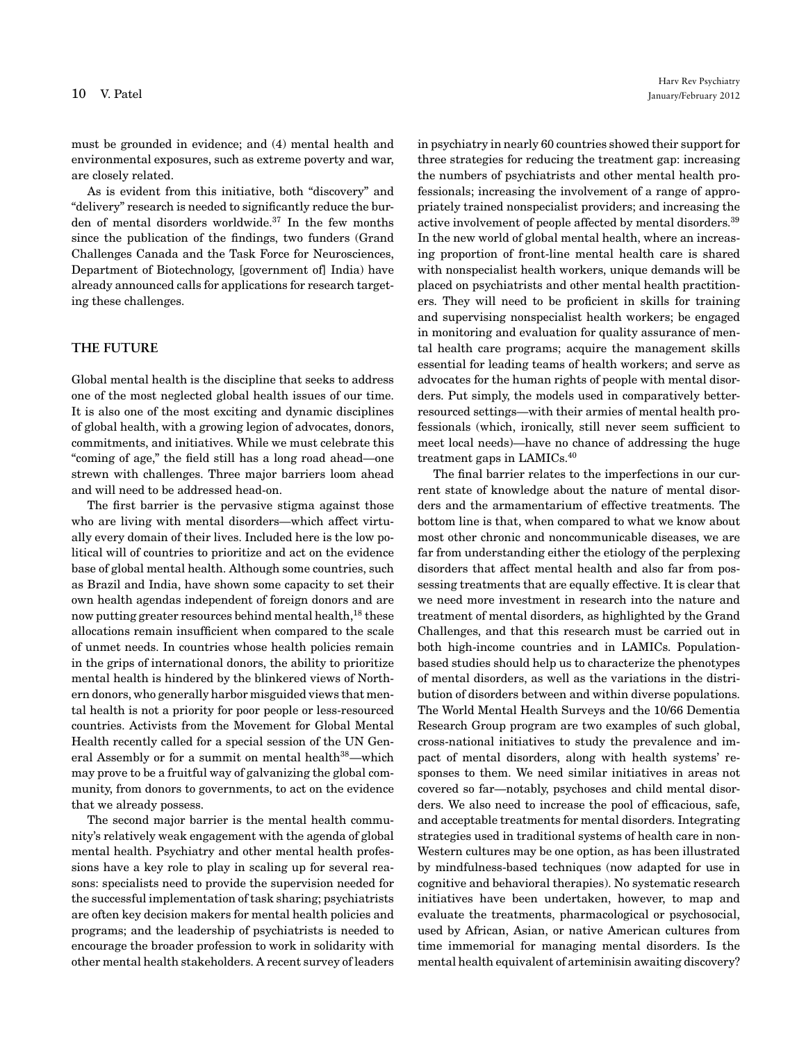must be grounded in evidence; and (4) mental health and environmental exposures, such as extreme poverty and war, are closely related.

As is evident from this initiative, both "discovery" and "delivery" research is needed to significantly reduce the burden of mental disorders worldwide.37 In the few months since the publication of the findings, two funders (Grand Challenges Canada and the Task Force for Neurosciences, Department of Biotechnology, [government of] India) have already announced calls for applications for research targeting these challenges.

### **THE FUTURE**

Global mental health is the discipline that seeks to address one of the most neglected global health issues of our time. It is also one of the most exciting and dynamic disciplines of global health, with a growing legion of advocates, donors, commitments, and initiatives. While we must celebrate this "coming of age," the field still has a long road ahead—one strewn with challenges. Three major barriers loom ahead and will need to be addressed head-on.

The first barrier is the pervasive stigma against those who are living with mental disorders—which affect virtually every domain of their lives. Included here is the low political will of countries to prioritize and act on the evidence base of global mental health. Although some countries, such as Brazil and India, have shown some capacity to set their own health agendas independent of foreign donors and are now putting greater resources behind mental health,<sup>18</sup> these allocations remain insufficient when compared to the scale of unmet needs. In countries whose health policies remain in the grips of international donors, the ability to prioritize mental health is hindered by the blinkered views of Northern donors, who generally harbor misguided views that mental health is not a priority for poor people or less-resourced countries. Activists from the Movement for Global Mental Health recently called for a special session of the UN General Assembly or for a summit on mental health<sup>38</sup>—which may prove to be a fruitful way of galvanizing the global community, from donors to governments, to act on the evidence that we already possess.

The second major barrier is the mental health community's relatively weak engagement with the agenda of global mental health. Psychiatry and other mental health professions have a key role to play in scaling up for several reasons: specialists need to provide the supervision needed for the successful implementation of task sharing; psychiatrists are often key decision makers for mental health policies and programs; and the leadership of psychiatrists is needed to encourage the broader profession to work in solidarity with other mental health stakeholders. A recent survey of leaders

in psychiatry in nearly 60 countries showed their support for three strategies for reducing the treatment gap: increasing the numbers of psychiatrists and other mental health professionals; increasing the involvement of a range of appropriately trained nonspecialist providers; and increasing the active involvement of people affected by mental disorders.39 In the new world of global mental health, where an increasing proportion of front-line mental health care is shared with nonspecialist health workers, unique demands will be placed on psychiatrists and other mental health practitioners. They will need to be proficient in skills for training and supervising nonspecialist health workers; be engaged in monitoring and evaluation for quality assurance of mental health care programs; acquire the management skills essential for leading teams of health workers; and serve as advocates for the human rights of people with mental disorders. Put simply, the models used in comparatively betterresourced settings—with their armies of mental health professionals (which, ironically, still never seem sufficient to meet local needs)—have no chance of addressing the huge treatment gaps in LAMICs.<sup>40</sup>

The final barrier relates to the imperfections in our current state of knowledge about the nature of mental disorders and the armamentarium of effective treatments. The bottom line is that, when compared to what we know about most other chronic and noncommunicable diseases, we are far from understanding either the etiology of the perplexing disorders that affect mental health and also far from possessing treatments that are equally effective. It is clear that we need more investment in research into the nature and treatment of mental disorders, as highlighted by the Grand Challenges, and that this research must be carried out in both high-income countries and in LAMICs. Populationbased studies should help us to characterize the phenotypes of mental disorders, as well as the variations in the distribution of disorders between and within diverse populations. The World Mental Health Surveys and the 10/66 Dementia Research Group program are two examples of such global, cross-national initiatives to study the prevalence and impact of mental disorders, along with health systems' responses to them. We need similar initiatives in areas not covered so far—notably, psychoses and child mental disorders. We also need to increase the pool of efficacious, safe, and acceptable treatments for mental disorders. Integrating strategies used in traditional systems of health care in non-Western cultures may be one option, as has been illustrated by mindfulness-based techniques (now adapted for use in cognitive and behavioral therapies). No systematic research initiatives have been undertaken, however, to map and evaluate the treatments, pharmacological or psychosocial, used by African, Asian, or native American cultures from time immemorial for managing mental disorders. Is the mental health equivalent of arteminisin awaiting discovery?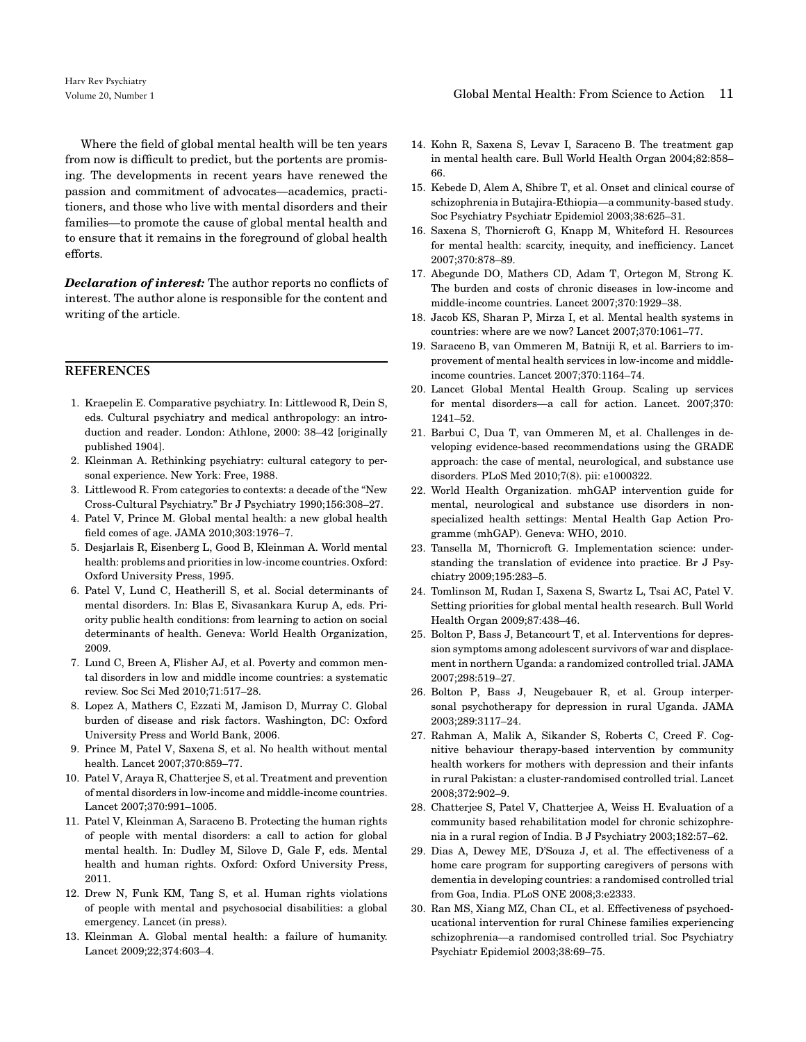Where the field of global mental health will be ten years from now is difficult to predict, but the portents are promising. The developments in recent years have renewed the passion and commitment of advocates—academics, practitioners, and those who live with mental disorders and their families—to promote the cause of global mental health and to ensure that it remains in the foreground of global health efforts.

*Declaration of interest:* The author reports no conflicts of interest. The author alone is responsible for the content and writing of the article.

### **REFERENCES**

- 1. Kraepelin E. Comparative psychiatry. In: Littlewood R, Dein S, eds. Cultural psychiatry and medical anthropology: an introduction and reader. London: Athlone, 2000: 38–42 [originally published 1904].
- 2. Kleinman A. Rethinking psychiatry: cultural category to personal experience. New York: Free, 1988.
- 3. Littlewood R. From categories to contexts: a decade of the "New Cross-Cultural Psychiatry." Br J Psychiatry 1990;156:308–27.
- 4. Patel V, Prince M. Global mental health: a new global health field comes of age. JAMA 2010;303:1976–7.
- 5. Desjarlais R, Eisenberg L, Good B, Kleinman A. World mental health: problems and priorities in low-income countries. Oxford: Oxford University Press, 1995.
- 6. Patel V, Lund C, Heatherill S, et al. Social determinants of mental disorders. In: Blas E, Sivasankara Kurup A, eds. Priority public health conditions: from learning to action on social determinants of health. Geneva: World Health Organization, 2009.
- 7. Lund C, Breen A, Flisher AJ, et al. Poverty and common mental disorders in low and middle income countries: a systematic review. Soc Sci Med 2010;71:517–28.
- 8. Lopez A, Mathers C, Ezzati M, Jamison D, Murray C. Global burden of disease and risk factors. Washington, DC: Oxford University Press and World Bank, 2006.
- 9. Prince M, Patel V, Saxena S, et al. No health without mental health. Lancet 2007;370:859–77.
- 10. Patel V, Araya R, Chatterjee S, et al. Treatment and prevention of mental disorders in low-income and middle-income countries. Lancet 2007;370:991–1005.
- 11. Patel V, Kleinman A, Saraceno B. Protecting the human rights of people with mental disorders: a call to action for global mental health. In: Dudley M, Silove D, Gale F, eds. Mental health and human rights. Oxford: Oxford University Press, 2011.
- 12. Drew N, Funk KM, Tang S, et al. Human rights violations of people with mental and psychosocial disabilities: a global emergency. Lancet (in press).
- 13. Kleinman A. Global mental health: a failure of humanity. Lancet 2009;22;374:603–4.
- 14. Kohn R, Saxena S, Levav I, Saraceno B. The treatment gap in mental health care. Bull World Health Organ 2004;82:858– 66.
- 15. Kebede D, Alem A, Shibre T, et al. Onset and clinical course of schizophrenia in Butajira-Ethiopia—a community-based study. Soc Psychiatry Psychiatr Epidemiol 2003;38:625–31.
- 16. Saxena S, Thornicroft G, Knapp M, Whiteford H. Resources for mental health: scarcity, inequity, and inefficiency. Lancet 2007;370:878–89.
- 17. Abegunde DO, Mathers CD, Adam T, Ortegon M, Strong K. The burden and costs of chronic diseases in low-income and middle-income countries. Lancet 2007;370:1929–38.
- 18. Jacob KS, Sharan P, Mirza I, et al. Mental health systems in countries: where are we now? Lancet 2007;370:1061–77.
- 19. Saraceno B, van Ommeren M, Batniji R, et al. Barriers to improvement of mental health services in low-income and middleincome countries. Lancet 2007;370:1164–74.
- 20. Lancet Global Mental Health Group. Scaling up services for mental disorders—a call for action. Lancet. 2007;370: 1241–52.
- 21. Barbui C, Dua T, van Ommeren M, et al. Challenges in developing evidence-based recommendations using the GRADE approach: the case of mental, neurological, and substance use disorders. PLoS Med 2010;7(8). pii: e1000322.
- 22. World Health Organization. mhGAP intervention guide for mental, neurological and substance use disorders in nonspecialized health settings: Mental Health Gap Action Programme (mhGAP). Geneva: WHO, 2010.
- 23. Tansella M, Thornicroft G. Implementation science: understanding the translation of evidence into practice. Br J Psychiatry 2009;195:283–5.
- 24. Tomlinson M, Rudan I, Saxena S, Swartz L, Tsai AC, Patel V. Setting priorities for global mental health research. Bull World Health Organ 2009;87:438–46.
- 25. Bolton P, Bass J, Betancourt T, et al. Interventions for depression symptoms among adolescent survivors of war and displacement in northern Uganda: a randomized controlled trial. JAMA 2007;298:519–27.
- 26. Bolton P, Bass J, Neugebauer R, et al. Group interpersonal psychotherapy for depression in rural Uganda. JAMA 2003;289:3117–24.
- 27. Rahman A, Malik A, Sikander S, Roberts C, Creed F. Cognitive behaviour therapy-based intervention by community health workers for mothers with depression and their infants in rural Pakistan: a cluster-randomised controlled trial. Lancet 2008;372:902–9.
- 28. Chatterjee S, Patel V, Chatterjee A, Weiss H. Evaluation of a community based rehabilitation model for chronic schizophrenia in a rural region of India. B J Psychiatry 2003;182:57–62.
- 29. Dias A, Dewey ME, D'Souza J, et al. The effectiveness of a home care program for supporting caregivers of persons with dementia in developing countries: a randomised controlled trial from Goa, India. PLoS ONE 2008;3:e2333.
- 30. Ran MS, Xiang MZ, Chan CL, et al. Effectiveness of psychoeducational intervention for rural Chinese families experiencing schizophrenia—a randomised controlled trial. Soc Psychiatry Psychiatr Epidemiol 2003;38:69–75.